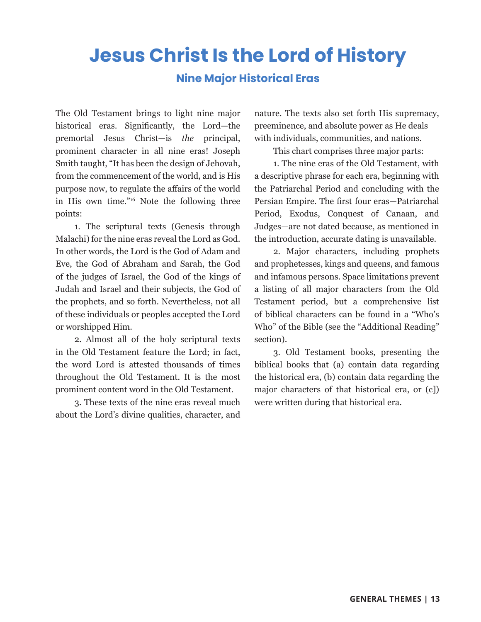## **Jesus Christ Is the Lord of History**

## **Nine Major Historical Eras**

The Old Testament brings to light nine major historical eras. Significantly, the Lord—the premortal Jesus Christ—is *the* principal, prominent character in all nine eras! Joseph Smith taught, "It has been the design of Jehovah, from the commencement of the world, and is His purpose now, to regulate the affairs of the world in His own time."<sup>16</sup> Note the following three points:

1. The scriptural texts (Genesis through Malachi) for the nine eras reveal the Lord as God. In other words, the Lord is the God of Adam and Eve, the God of Abraham and Sarah, the God of the judges of Israel, the God of the kings of Judah and Israel and their subjects, the God of the prophets, and so forth. Nevertheless, not all of these individuals or peoples accepted the Lord or worshipped Him.

2. Almost all of the holy scriptural texts in the Old Testament feature the Lord; in fact, the word Lord is attested thousands of times throughout the Old Testament. It is the most prominent content word in the Old Testament.

3. These texts of the nine eras reveal much about the Lord's divine qualities, character, and

nature. The texts also set forth His supremacy, preeminence, and absolute power as He deals with individuals, communities, and nations.

This chart comprises three major parts:

1. The nine eras of the Old Testament, with a descriptive phrase for each era, beginning with the Patriarchal Period and concluding with the Persian Empire. The first four eras—Patriarchal Period, Exodus, Conquest of Canaan, and Judges—are not dated because, as mentioned in the introduction, accurate dating is unavailable.

2. Major characters, including prophets and prophetesses, kings and queens, and famous and infamous persons. Space limitations prevent a listing of all major characters from the Old Testament period, but a comprehensive list of biblical characters can be found in a "Who's Who" of the Bible (see the "Additional Reading" section).

3. Old Testament books, presenting the biblical books that (a) contain data regarding the historical era, (b) contain data regarding the major characters of that historical era, or (c]) were written during that historical era.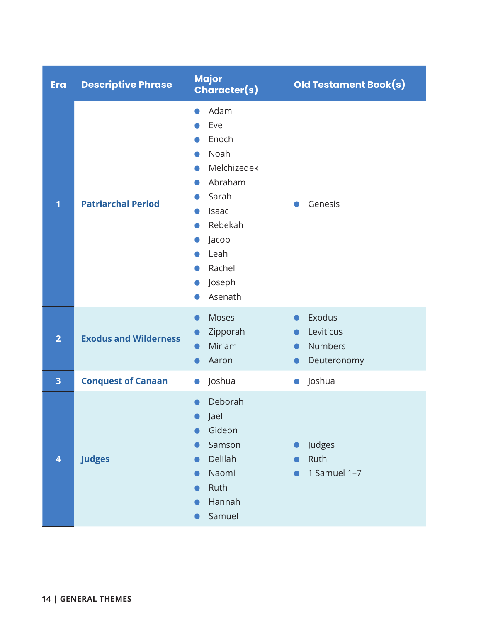| <b>Era</b>              | <b>Descriptive Phrase</b>    | <b>Major</b><br><b>Character(s)</b>                                                                                                                | Old Testament Book(s)                                                                                    |
|-------------------------|------------------------------|----------------------------------------------------------------------------------------------------------------------------------------------------|----------------------------------------------------------------------------------------------------------|
| 1                       | <b>Patriarchal Period</b>    | Adam<br>O<br>Eve<br>Enoch<br>Noah<br>Melchizedek<br>Abraham<br>Sarah<br>Isaac<br>Rebekah<br>Jacob<br>O<br>Leah<br>Rachel<br>Joseph<br>O<br>Asenath | Genesis<br>$\bullet$                                                                                     |
| $\overline{2}$          | <b>Exodus and Wilderness</b> | Moses<br>$\bullet$<br>Zipporah<br>O<br>Miriam<br>Aaron                                                                                             | Exodus<br>$\bullet$<br>Leviticus<br>$\bullet$<br><b>Numbers</b><br>$\bullet$<br>Deuteronomy<br>$\bullet$ |
| 3                       | <b>Conquest of Canaan</b>    | Joshua<br>$\bullet$                                                                                                                                | Joshua<br>$\bullet$                                                                                      |
| $\overline{\mathbf{4}}$ | <b>Judges</b>                | Deborah<br>Jael<br>$\bullet$<br>Gideon<br>Samson<br>Delilah<br>Naomi<br>Ruth<br>Hannah<br>Samuel                                                   | Judges<br>$\bullet$<br>Ruth<br>1 Samuel 1-7                                                              |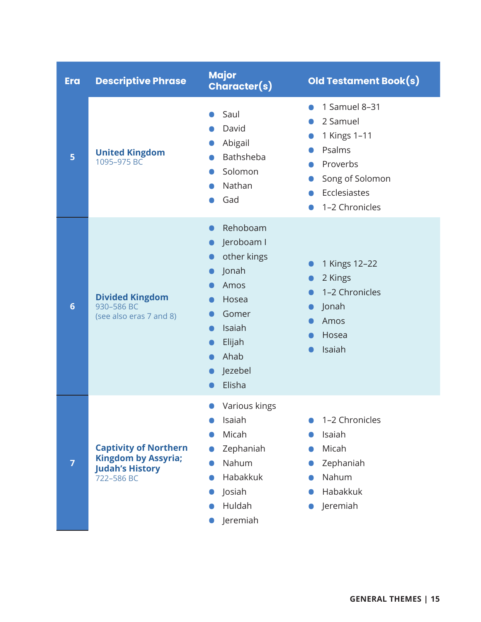| <b>Era</b>      | <b>Descriptive Phrase</b>                                                                          | <b>Major</b><br><b>Character(s)</b>                                                                                                                      | Old Testament Book(s)                                                                                                |
|-----------------|----------------------------------------------------------------------------------------------------|----------------------------------------------------------------------------------------------------------------------------------------------------------|----------------------------------------------------------------------------------------------------------------------|
| 5               | <b>United Kingdom</b><br>1095-975 BC                                                               | Saul<br>David<br>Abigail<br>Bathsheba<br>Solomon<br>Nathan<br>Gad                                                                                        | 1 Samuel 8-31<br>2 Samuel<br>1 Kings 1-11<br>Psalms<br>Proverbs<br>Song of Solomon<br>Ecclesiastes<br>1-2 Chronicles |
| $6\phantom{1}6$ | <b>Divided Kingdom</b><br>930-586 BC<br>(see also eras 7 and 8)                                    | Rehoboam<br>$\bullet$<br>Jeroboam I<br>other kings<br>Jonah<br>$\bullet$<br>Amos<br>Hosea<br>Gomer<br>Isaiah<br>O<br>Elijah<br>Ahab<br>Jezebel<br>Elisha | 1 Kings 12-22<br>2 Kings<br>1-2 Chronicles<br>Jonah<br>Amos<br>Hosea<br>Isaiah                                       |
| $\overline{7}$  | <b>Captivity of Northern</b><br><b>Kingdom by Assyria;</b><br><b>Judah's History</b><br>722-586 BC | Various kings<br>Isaiah<br>Micah<br>Zephaniah<br>Nahum<br>Habakkuk<br>Josiah<br>Huldah<br>Jeremiah                                                       | 1-2 Chronicles<br>Isaiah<br>Micah<br>Zephaniah<br>Nahum<br>Habakkuk<br>Jeremiah                                      |